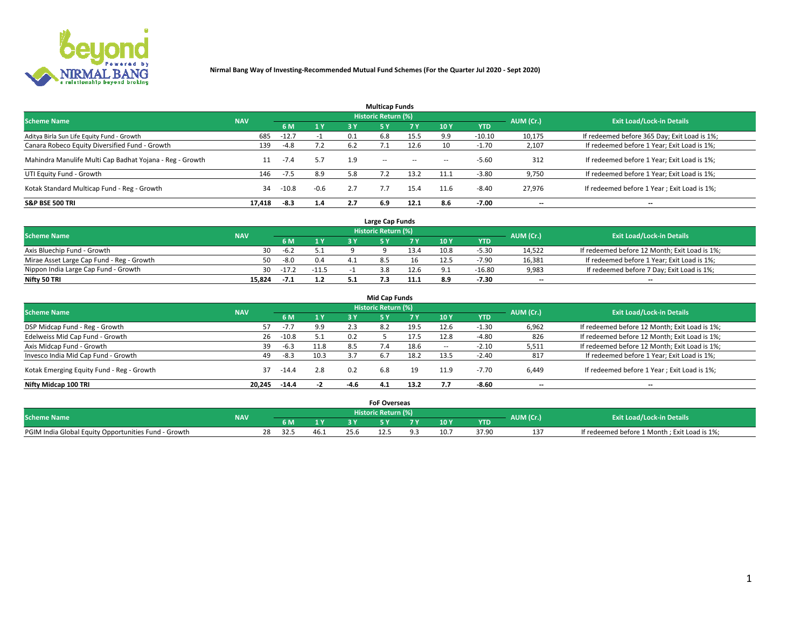

|                                                          |            |         |                |     | <b>Multicap Funds</b> |           |      |            |           |                                              |
|----------------------------------------------------------|------------|---------|----------------|-----|-----------------------|-----------|------|------------|-----------|----------------------------------------------|
| <b>Scheme Name</b>                                       | <b>NAV</b> |         |                |     | Historic Return (%)   |           |      |            | AUM (Cr.) | <b>Exit Load/Lock-in Details</b>             |
|                                                          |            | 6 M     | 1 <sub>Y</sub> | 3 Y | -5 Y                  | <b>7Y</b> | 10Y  | <b>YTD</b> |           |                                              |
| Aditya Birla Sun Life Equity Fund - Growth               | 685        | $-12.7$ |                | 0.1 | 6.8                   | 15.5      | 9.9  | $-10.10$   | 10,175    | If redeemed before 365 Day; Exit Load is 1%; |
| Canara Robeco Equity Diversified Fund - Growth           | 139        | $-4.8$  | 7.2            | 6.2 |                       | 12.6      | 10   | $-1.70$    | 2,107     | If redeemed before 1 Year; Exit Load is 1%;  |
| Mahindra Manulife Multi Cap Badhat Yojana - Reg - Growth | 11         | -7.4    | 5.7            | 1.9 | $\sim$ $-$            | $\sim$    | $-$  | $-5.60$    | 312       | If redeemed before 1 Year; Exit Load is 1%;  |
| UTI Equity Fund - Growth                                 | 146        | $-7.5$  | 8.9            | 5.8 |                       | 13.2      | 11.1 | $-3.80$    | 9,750     | If redeemed before 1 Year; Exit Load is 1%;  |
| Kotak Standard Multicap Fund - Reg - Growth              | 34         | $-10.8$ | $-0.6$         | 2.7 |                       | 15.4      | 11.6 | $-8.40$    | 27.976    | If redeemed before 1 Year; Exit Load is 1%;  |
| <b>S&amp;P BSE 500 TRI</b>                               | 17.418     | $-8.3$  | 1.4            | 2.7 | 6.9                   | 12.1      | 8.6  | $-7.00$    | --        | $- -$                                        |

|                                           |            |         |         | Large Cap Funds     |      |      |            |                          |                                               |
|-------------------------------------------|------------|---------|---------|---------------------|------|------|------------|--------------------------|-----------------------------------------------|
| <b>Scheme Name</b>                        | <b>NAV</b> |         |         | Historic Return (%) |      |      |            | AUM (Cr.)                | <b>Exit Load/Lock-in Details</b>              |
|                                           |            | 6 M     | 4V      |                     |      | 10 Y | <b>YTD</b> |                          |                                               |
| Axis Bluechip Fund - Growth               | 30.        | $-6.2$  | 5.1     |                     | 13.4 | 10.8 | $-5.30$    | 14,522                   | If redeemed before 12 Month; Exit Load is 1%; |
| Mirae Asset Large Cap Fund - Reg - Growth | 50         | $-8.0$  | 0.4     |                     |      | 12.5 | $-7.90$    | 16,381                   | If redeemed before 1 Year; Exit Load is 1%;   |
| Nippon India Large Cap Fund - Growth      | 30         | $-17.2$ | $-11.5$ |                     | 12.6 |      | $-16.80$   | 9,983                    | If redeemed before 7 Day; Exit Load is 1%;    |
| Nifty 50 TRI                              | 15.824     | $-7.1$  | 1.2     |                     |      | 8.9  | $-7.30$    | $\overline{\phantom{a}}$ | $- -$                                         |

| <b>Mid Cap Funds</b>                      |            |         |      |      |                     |      |                          |            |                          |                                               |  |  |  |
|-------------------------------------------|------------|---------|------|------|---------------------|------|--------------------------|------------|--------------------------|-----------------------------------------------|--|--|--|
| <b>Scheme Name</b>                        | <b>NAV</b> |         |      |      | Historic Return (%) |      |                          |            | AUM (Cr.)                | <b>Exit Load/Lock-in Details</b>              |  |  |  |
|                                           |            | 6 M     | 1Y   | 3 Y  | .5 Y                | 7 Y  | <b>10Y</b>               | <b>YTD</b> |                          |                                               |  |  |  |
| DSP Midcap Fund - Reg - Growth            | 57         |         | 9.9  | 2.3  | 8.2                 | 19.5 | 12.6                     | $-1.30$    | 6,962                    | If redeemed before 12 Month; Exit Load is 1%; |  |  |  |
| Edelweiss Mid Cap Fund - Growth           | 26         | $-10.8$ | 5.1  | 0.2  |                     | 17.5 | 12.8                     | $-4.80$    | 826                      | If redeemed before 12 Month; Exit Load is 1%; |  |  |  |
| Axis Midcap Fund - Growth                 | 39         | $-6.3$  | 11.8 | 8.5  | 7.4                 | 18.6 | $\overline{\phantom{a}}$ | $-2.10$    | 5,511                    | If redeemed before 12 Month; Exit Load is 1%; |  |  |  |
| Invesco India Mid Cap Fund - Growth       | 49         | $-8.3$  | 10.3 |      | 6.7                 | 18.2 | 13.5                     | $-2.40$    | 817                      | If redeemed before 1 Year; Exit Load is 1%;   |  |  |  |
| Kotak Emerging Equity Fund - Reg - Growth | 37         | -14.4   | 2.8  | 0.2  | 6.8                 | 19   | 11.9                     | $-7.70$    | 6.449                    | If redeemed before 1 Year; Exit Load is 1%;   |  |  |  |
| Nifty Midcap 100 TRI                      | 20.245     | $-14.4$ | -2   | -4.6 | 4.1                 | 13.2 | 7.7                      | $-8.60$    | $\overline{\phantom{a}}$ | $- -$                                         |  |  |  |

|                                                      |            |      |      |      | <b>FoF Overseas</b> |      |            |           |                                              |
|------------------------------------------------------|------------|------|------|------|---------------------|------|------------|-----------|----------------------------------------------|
| <b>Scheme Name</b>                                   | <b>NAV</b> |      |      |      | Historic Return (%) |      |            | AUM (Cr.) | <b>Exit Load/Lock-in Details</b>             |
|                                                      |            | 6 M  | 1Y   |      |                     | 10 Y | <b>YTD</b> |           |                                              |
| PGIM India Global Equity Opportunities Fund - Growth |            | 34.5 | 46.1 | 25.6 |                     |      | 37.90      |           | If redeemed before 1 Month; Exit Load is 1%; |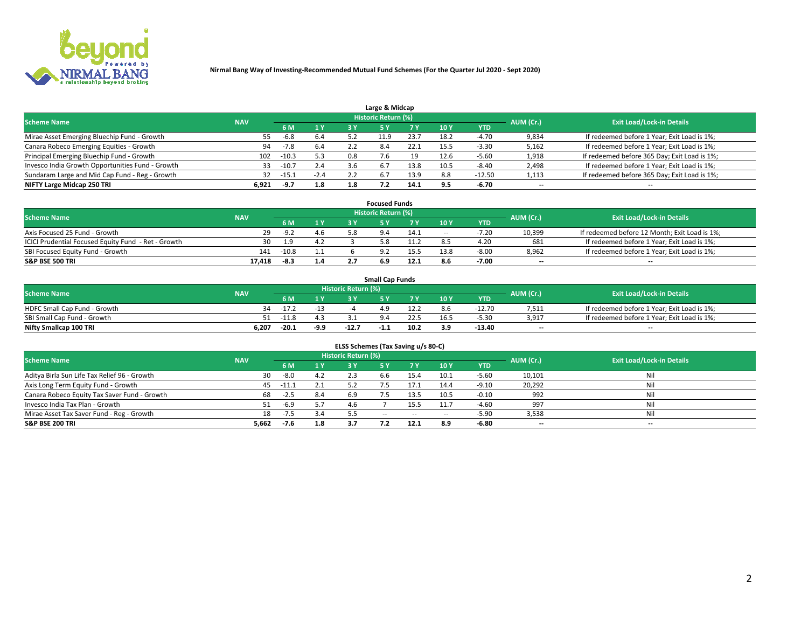

| Large & Midcap                                   |            |         |        |     |                            |      |      |          |                          |                                              |  |  |  |
|--------------------------------------------------|------------|---------|--------|-----|----------------------------|------|------|----------|--------------------------|----------------------------------------------|--|--|--|
| <b>Scheme Name</b>                               | <b>NAV</b> |         |        |     | <b>Historic Return (%)</b> |      |      |          | AUM (Cr.)                | <b>Exit Load/Lock-in Details</b>             |  |  |  |
|                                                  |            | 6 M     | 1Y     | 3 Y |                            | 7 V  | 10Y  | YTD      |                          |                                              |  |  |  |
| Mirae Asset Emerging Bluechip Fund - Growth      | 55         | $-6.8$  | 6.4    |     | -1.9                       | 23.7 | 18.2 | -4.70    | 9,834                    | If redeemed before 1 Year; Exit Load is 1%;  |  |  |  |
| Canara Robeco Emerging Equities - Growth         | 94         | $-7.8$  | 6.4    |     | 8.4                        | 22.1 | 15.5 | $-3.30$  | 5,162                    | If redeemed before 1 Year; Exit Load is 1%;  |  |  |  |
| Principal Emerging Bluechip Fund - Growth        | 102        | $-10.3$ | 5.3    | 0.8 |                            | 19   | 12.6 | $-5.60$  | 1,918                    | If redeemed before 365 Day; Exit Load is 1%; |  |  |  |
| Invesco India Growth Opportunities Fund - Growth | 33         | $-10.7$ | 2.4    | 3.6 |                            |      | 10.5 | $-8.40$  | 2,498                    | If redeemed before 1 Year; Exit Load is 1%;  |  |  |  |
| Sundaram Large and Mid Cap Fund - Reg - Growth   | 32         | $-15.1$ | $-2.4$ | 2.2 | 6.7                        | 13.9 | 8.8  | $-12.50$ | 1,113                    | If redeemed before 365 Day; Exit Load is 1%; |  |  |  |
| NIFTY Large Midcap 250 TRI                       | 6.921      | -9.7    | 1.8    | 1.8 |                            | 14.1 |      | $-6.70$  | $\overline{\phantom{a}}$ | $- -$                                        |  |  |  |

|                                                     |            |         |     | <b>Focused Funds</b> |      |      |            |           |                                               |
|-----------------------------------------------------|------------|---------|-----|----------------------|------|------|------------|-----------|-----------------------------------------------|
| <b>Scheme Name</b>                                  | <b>NAV</b> |         |     | Historic Return (%)  |      |      |            | AUM (Cr.) | <b>Exit Load/Lock-in Details</b>              |
|                                                     |            | 6 M     | 1 Y |                      | 7 V  | 10Y  | <b>YTD</b> |           |                                               |
| Axis Focused 25 Fund - Growth                       | 29         | $-9.7$  | 4.6 |                      | 14.1 | --   | -7.20      | 10,399    | If redeemed before 12 Month; Exit Load is 1%; |
| ICICI Prudential Focused Equity Fund - Ret - Growth | 30         | 1.9     | 4.2 |                      | 11.2 |      | 4.20       | 681       | If redeemed before 1 Year; Exit Load is 1%;   |
| SBI Focused Equity Fund - Growth                    | 141        | $-10.8$ |     | റാ                   |      | 13.8 | $-8.00$    | 8,962     | If redeemed before 1 Year; Exit Load is 1%;   |
| <b>S&amp;P BSE 500 TRI</b>                          | 17.418     | $-8.3$  | 1.4 |                      |      | 8.6  | $-7.00$    | --        | $- -$                                         |

| <b>Small Cap Funds</b>       |            |         |        |                     |      |      |     |            |           |                                             |  |  |
|------------------------------|------------|---------|--------|---------------------|------|------|-----|------------|-----------|---------------------------------------------|--|--|
| <b>Scheme Name</b>           | <b>NAV</b> |         |        | Historic Return (%) |      |      |     |            | AUM (Cr.) | <b>Exit Load/Lock-in Details</b>            |  |  |
|                              |            | 6 M     | 1 Y    |                     |      |      | 10Y | <b>YTD</b> |           |                                             |  |  |
| HDFC Small Cap Fund - Growth | 34         | $-17.2$ |        |                     |      |      | 8.6 | $-12.70$   | 7,511     | If redeemed before 1 Year; Exit Load is 1%; |  |  |
| SBI Small Cap Fund - Growth  |            | $-11.8$ |        |                     |      |      |     | $-5.30$    | 3.917     | If redeemed before 1 Year; Exit Load is 1%; |  |  |
| Nifty Smallcap 100 TRI       | 6.207      | $-20.1$ | $-9.9$ | $-12.7$             | -1.1 | 10.2 | 3.9 | -13.40     | $- -$     | $- -$                                       |  |  |

| ELSS Schemes (Tax Saving u/s 80-C)           |            |        |     |                            |            |        |                          |            |                          |                                  |  |  |  |
|----------------------------------------------|------------|--------|-----|----------------------------|------------|--------|--------------------------|------------|--------------------------|----------------------------------|--|--|--|
| <b>Scheme Name</b>                           | <b>NAV</b> |        |     | <b>Historic Return (%)</b> |            |        |                          |            | AUM (Cr.)                | <b>Exit Load/Lock-in Details</b> |  |  |  |
|                                              |            | 6 M    | 1Y  | 3 Y                        | <b>5Y</b>  | 7 Y    | 10Y                      | <b>YTD</b> |                          |                                  |  |  |  |
| Aditya Birla Sun Life Tax Relief 96 - Growth | 30         | -8.0   | 4.2 | د. 2                       | b.b        | 15.4   | 10.1                     | $-5.60$    | 10,101                   | Nil                              |  |  |  |
| Axis Long Term Equity Fund - Growth          | 45         | -11.1  | 2.1 | 5.2                        |            | 17.1   | 14.4                     | $-9.10$    | 20,292                   | Nil                              |  |  |  |
| Canara Robeco Equity Tax Saver Fund - Growth | 68         | $-2.5$ | 8.4 | 6.9                        |            | 13.5   | 10.5                     | $-0.10$    | 992                      | Nil                              |  |  |  |
| Invesco India Tax Plan - Growth              | 51         | $-6.9$ | 5.7 |                            |            | 15.5   | 11.7                     | $-4.60$    | 997                      | Nil                              |  |  |  |
| Mirae Asset Tax Saver Fund - Reg - Growth    | 18         | -7.5   | 3.4 | 5.5                        | $\sim$ $-$ | $\sim$ | $\overline{\phantom{a}}$ | $-5.90$    | 3,538                    | Nil                              |  |  |  |
| S&P BSE 200 TRI                              | 5,662      | $-7.6$ | 1.8 |                            |            | 12.1   | 8.9                      | $-6.80$    | $\overline{\phantom{a}}$ | $- -$                            |  |  |  |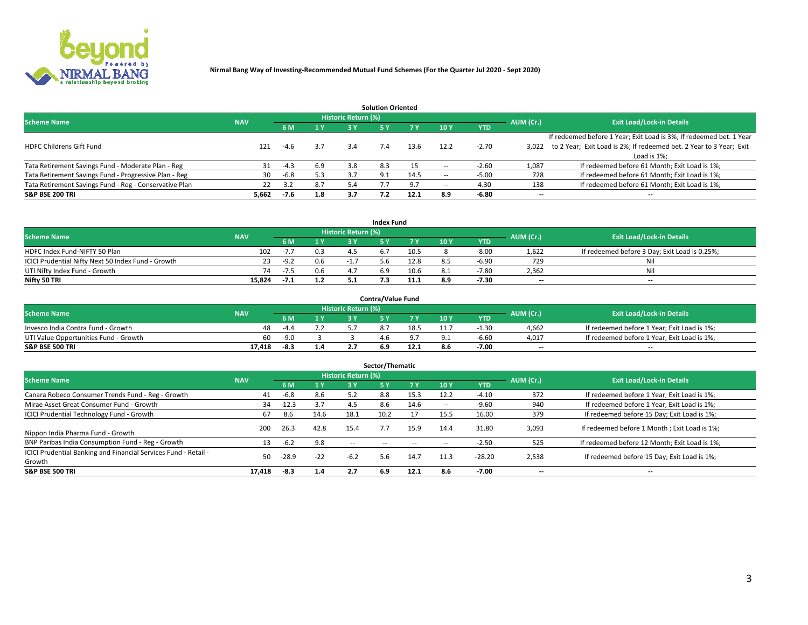

|                                                        |            |            |     |                            | <b>Solution Oriented</b> |      |                          |            |                          |                                                                     |
|--------------------------------------------------------|------------|------------|-----|----------------------------|--------------------------|------|--------------------------|------------|--------------------------|---------------------------------------------------------------------|
| <b>Scheme Name</b>                                     | <b>NAV</b> |            |     | <b>Historic Return (%)</b> |                          |      |                          |            | AUM (Cr.)                | <b>Exit Load/Lock-in Details</b>                                    |
|                                                        |            | <b>6 M</b> | 1 Y | 3 Y                        |                          |      | 10Y                      | <b>YTD</b> |                          |                                                                     |
|                                                        |            |            |     |                            |                          |      |                          |            |                          | If redeemed before 1 Year; Exit Load is 3%; If redeemed bet. 1 Year |
| <b>HDFC Childrens Gift Fund</b>                        | 121        | $-4.6$     | 3.7 | 3.4                        |                          | 13.6 | 12.2                     | $-2.70$    | 3.022                    | to 2 Year; Exit Load is 2%; If redeemed bet. 2 Year to 3 Year; Exit |
|                                                        |            |            |     |                            |                          |      |                          |            |                          | Load is 1%;                                                         |
| Tata Retirement Savings Fund - Moderate Plan - Reg     | 31         | $-4.3$     | 6.9 | 3.8                        | 8.3                      |      | --                       | $-2.60$    | 1,087                    | If redeemed before 61 Month; Exit Load is 1%;                       |
| Tata Retirement Savings Fund - Progressive Plan - Reg  | 30         | -6.8       | 5.3 |                            | 9.1                      | 14.5 | $\overline{\phantom{a}}$ | $-5.00$    | 728                      | If redeemed before 61 Month; Exit Load is 1%;                       |
| Tata Retirement Savings Fund - Reg - Conservative Plan | 22         | 3.2        | 8.7 | 5.4                        |                          |      | --                       | 4.30       | 138                      | If redeemed before 61 Month; Exit Load is 1%;                       |
| S&P BSE 200 TRI                                        | 5,662      | $-7.6$     | 1.8 | 3.7                        |                          | 12.1 | 8.9                      | $-6.80$    | $\overline{\phantom{a}}$ | $- -$                                                               |

|                                                    |            |                |              |                            | <b>Index Fund</b> |      |      |            |                          |                                               |
|----------------------------------------------------|------------|----------------|--------------|----------------------------|-------------------|------|------|------------|--------------------------|-----------------------------------------------|
| <b>Scheme Name</b>                                 | <b>NAV</b> |                |              | <b>Historic Return (%)</b> |                   |      |      |            | AUM (Cr.)                | <b>Exit Load/Lock-in Details</b>              |
|                                                    |            |                | $\sqrt{1}$ Y | 2 V                        |                   | 7 V  | 10 Y | <b>YTD</b> |                          |                                               |
| HDFC Index Fund-NIFTY 50 Plan                      | 102        | $-1.1$         |              |                            |                   | 10.5 |      | $-8.00$    | 1,622                    | If redeemed before 3 Day; Exit Load is 0.25%; |
| ICICI Prudential Nifty Next 50 Index Fund - Growth |            | $-9.2$         | 0.6          |                            |                   | 12.8 |      | $-6.90$    | 729                      | Nil                                           |
| UTI Nifty Index Fund - Growth                      | 74         | $-7.5$         | 0.6          |                            |                   | 10.6 |      | $-7.80$    | 2,362                    | Nil                                           |
| Nifty 50 TRI                                       | 15.824     | $-I_{\rm eff}$ | 1.2          |                            |                   |      | 8.9  | $-7.30$    | $\overline{\phantom{a}}$ | $- -$                                         |

|                                       |            |        |     |                            | <b>Contra/Value Fund</b> |      |     |            |                          |                                             |
|---------------------------------------|------------|--------|-----|----------------------------|--------------------------|------|-----|------------|--------------------------|---------------------------------------------|
| <b>Scheme Name</b>                    | <b>NAV</b> |        |     | <b>Historic Return (%)</b> |                          |      |     |            | AUM (Cr.)                | <b>Exit Load/Lock-in Details</b>            |
|                                       |            |        | 1 V |                            |                          | 7 V  | 10Y | <b>YTD</b> |                          |                                             |
| Invesco India Contra Fund - Growth    | 48         | $-4.4$ |     |                            |                          | 18.5 |     | -1.30      | 4,662                    | If redeemed before 1 Year; Exit Load is 1%; |
| UTI Value Opportunities Fund - Growth | 60         | $-9.0$ |     |                            |                          |      |     | $-6.6C$    | 4,017                    | If redeemed before 1 Year; Exit Load is 1%; |
| <b>S&amp;P BSE 500 TRI</b>            | 17.418     | $-8.3$ | 1.4 |                            |                          |      |     | $-7.00$    | $\overline{\phantom{a}}$ | $- -$                                       |

| Sector/Thematic                                                           |            |         |       |                     |            |            |                          |            |           |                                               |  |  |  |
|---------------------------------------------------------------------------|------------|---------|-------|---------------------|------------|------------|--------------------------|------------|-----------|-----------------------------------------------|--|--|--|
| <b>Scheme Name</b>                                                        | <b>NAV</b> |         |       | Historic Return (%) |            |            |                          |            | AUM (Cr.) | <b>Exit Load/Lock-in Details</b>              |  |  |  |
|                                                                           |            | 6 M     | 1Y    | 3 Y                 | <b>5Y</b>  | <b>7 Y</b> | 10Y                      | <b>YTD</b> |           |                                               |  |  |  |
| Canara Robeco Consumer Trends Fund - Reg - Growth                         | 41         | $-6.8$  | 8.6   | 5.2                 | 8.8        | 15.3       | 12.2                     | $-4.10$    | 372       | If redeemed before 1 Year; Exit Load is 1%;   |  |  |  |
| Mirae Asset Great Consumer Fund - Growth                                  | 34         | $-12.3$ | 3.7   | 4.5                 | 8.6        | 14.6       | $\overline{\phantom{a}}$ | $-9.60$    | 940       | If redeemed before 1 Year; Exit Load is 1%;   |  |  |  |
| <b>ICICI Prudential Technology Fund - Growth</b>                          | 67         | 8.6     | 14.6  | 18.1                | 10.2       |            | 15.5                     | 16.00      | 379       | If redeemed before 15 Day; Exit Load is 1%;   |  |  |  |
| Nippon India Pharma Fund - Growth                                         | 200        | 26.3    | 42.8  | 15.4                |            | 15.9       | 14.4                     | 31.80      | 3,093     | If redeemed before 1 Month; Exit Load is 1%;  |  |  |  |
| BNP Paribas India Consumption Fund - Reg - Growth                         | 13         | $-6.2$  | 9.8   | $\sim$ $\sim$       | $\sim$ $-$ | $- -$      | $\overline{\phantom{a}}$ | $-2.50$    | 525       | If redeemed before 12 Month; Exit Load is 1%; |  |  |  |
| ICICI Prudential Banking and Financial Services Fund - Retail -<br>Growth | 50         | -28.9   | $-22$ | $-6.2$              | 5.6        | 14.7       | 11.3                     | $-28.20$   | 2,538     | If redeemed before 15 Day; Exit Load is 1%;   |  |  |  |
| <b>S&amp;P BSE 500 TRI</b>                                                | 17.418     | $-8.3$  | 1.4   | 2.7                 | 6.9        | 12.1       | 8.6                      | $-7.00$    | $- -$     | --                                            |  |  |  |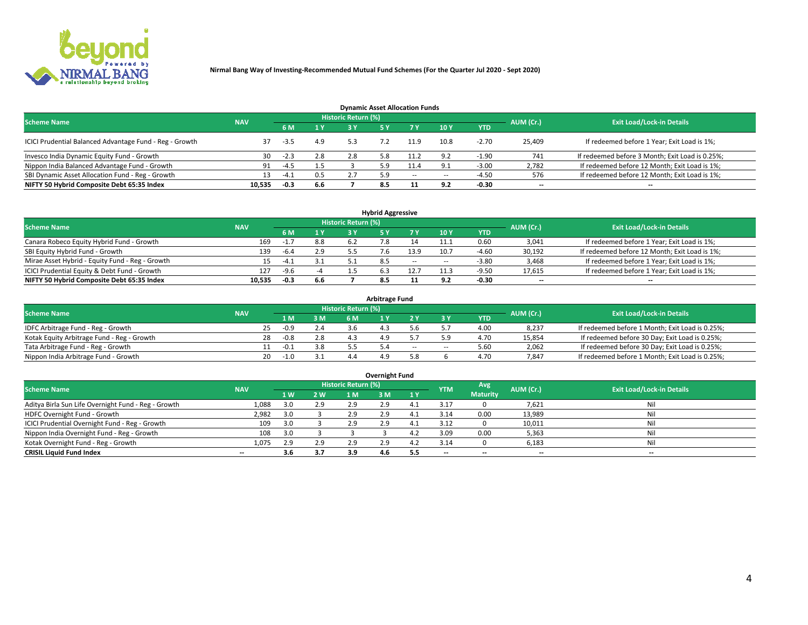

| <b>Dynamic Asset Allocation Funds</b>                                                                           |        |        |     |     |     |        |      |            |                          |                                                 |  |  |  |  |
|-----------------------------------------------------------------------------------------------------------------|--------|--------|-----|-----|-----|--------|------|------------|--------------------------|-------------------------------------------------|--|--|--|--|
| <b>Historic Return (%)</b><br><b>Exit Load/Lock-in Details</b><br><b>Scheme Name</b><br>AUM (Cr.)<br><b>NAV</b> |        |        |     |     |     |        |      |            |                          |                                                 |  |  |  |  |
|                                                                                                                 |        | 6 M    | 1 Y | 3 Y |     |        | 10Y  | <b>YTD</b> |                          |                                                 |  |  |  |  |
| ICICI Prudential Balanced Advantage Fund - Reg - Growth                                                         |        | $-3.5$ | 4.9 | 5.3 |     | 11.9   | 10.8 | $-2.70$    | 25,409                   | If redeemed before 1 Year; Exit Load is 1%;     |  |  |  |  |
| Invesco India Dynamic Equity Fund - Growth                                                                      | 30     | $-2.3$ | 2.8 | 2.8 | 5.8 | 11.2   | 9.2  | $-1.90$    | 741                      | If redeemed before 3 Month; Exit Load is 0.25%; |  |  |  |  |
| Nippon India Balanced Advantage Fund - Growth                                                                   | 91     | $-4.5$ | 1.5 |     |     | 11.4   |      | $-3.00$    | 2,782                    | If redeemed before 12 Month; Exit Load is 1%;   |  |  |  |  |
| SBI Dynamic Asset Allocation Fund - Reg - Growth                                                                |        | $-4.1$ | 0.5 |     |     | $\sim$ | --   | -4.50      | 576                      | If redeemed before 12 Month; Exit Load is 1%;   |  |  |  |  |
| NIFTY 50 Hybrid Composite Debt 65:35 Index                                                                      | 10,535 | $-0.3$ | 6.6 |     | 8.5 |        | 9.2  | -0.30      | $\overline{\phantom{a}}$ | $- -$                                           |  |  |  |  |

| <b>Hybrid Aggressive</b>                                                                                 |        |        |     |    |  |        |                          |            |        |                                               |  |  |  |  |
|----------------------------------------------------------------------------------------------------------|--------|--------|-----|----|--|--------|--------------------------|------------|--------|-----------------------------------------------|--|--|--|--|
| Historic Return (%)<br><b>Exit Load/Lock-in Details</b><br><b>Scheme Name</b><br>AUM (Cr.)<br><b>NAV</b> |        |        |     |    |  |        |                          |            |        |                                               |  |  |  |  |
|                                                                                                          |        | 6 M    | 1 Y | RУ |  |        | 10Y                      | <b>YTD</b> |        |                                               |  |  |  |  |
| Canara Robeco Equity Hybrid Fund - Growth                                                                | 169    | $-1.7$ | 8.8 |    |  |        | 11.:                     | 0.60       | 3,041  | If redeemed before 1 Year; Exit Load is 1%;   |  |  |  |  |
| SBI Equity Hybrid Fund - Growth                                                                          | 139    | $-6.4$ | 2.9 |    |  | 13.9   | 10.7                     | $-4.60$    | 30,192 | If redeemed before 12 Month; Exit Load is 1%; |  |  |  |  |
| Mirae Asset Hybrid - Equity Fund - Reg - Growth                                                          |        | -4.⊥   | 3.1 |    |  | $\sim$ | $\overline{\phantom{a}}$ | $-3.80$    | 3,468  | If redeemed before 1 Year; Exit Load is 1%;   |  |  |  |  |
| ICICI Prudential Equity & Debt Fund - Growth                                                             | 127    | $-9.6$ |     |    |  |        | 11.3                     | -9.50      | 17,615 | If redeemed before 1 Year; Exit Load is 1%;   |  |  |  |  |
| NIFTY 50 Hybrid Composite Debt 65:35 Index                                                               | 10.535 | -0.3   | 6.6 |    |  |        |                          | $-0.30$    | --     | $- -$                                         |  |  |  |  |

| <b>Arbitrage Fund</b>                      |            |                                  |     |           |     |     |        |            |        |                                                 |  |  |  |  |
|--------------------------------------------|------------|----------------------------------|-----|-----------|-----|-----|--------|------------|--------|-------------------------------------------------|--|--|--|--|
| <b>Scheme Name</b>                         | AUM (Cr.)  | <b>Exit Load/Lock-in Details</b> |     |           |     |     |        |            |        |                                                 |  |  |  |  |
|                                            | <b>NAV</b> | L M.                             | 3 M | <b>6M</b> |     |     |        | <b>YTD</b> |        |                                                 |  |  |  |  |
| IDFC Arbitrage Fund - Reg - Growth         | 25         | $-0.9$                           | 2.4 |           |     |     |        | 4.00       | 8,237  | If redeemed before 1 Month; Exit Load is 0.25%; |  |  |  |  |
| Kotak Equity Arbitrage Fund - Reg - Growth | 28         | $-0.8$                           | 2.8 |           |     |     |        | 4.70       | 15,854 | If redeemed before 30 Day; Exit Load is 0.25%;  |  |  |  |  |
| Tata Arbitrage Fund - Reg - Growth         |            | $-0.1$                           | 3.8 |           |     | $-$ | $\sim$ | 5.60       | 2,062  | If redeemed before 30 Day; Exit Load is 0.25%;  |  |  |  |  |
| Nippon India Arbitrage Fund - Growth       | 20         | -1.0                             |     |           | 4.9 |     |        | 4.70       | 7.847  | If redeemed before 1 Month; Exit Load is 0.25%; |  |  |  |  |

| Overnight Fund                                      |            |     |            |                     |     |     |            |                 |                          |                                  |  |  |  |  |
|-----------------------------------------------------|------------|-----|------------|---------------------|-----|-----|------------|-----------------|--------------------------|----------------------------------|--|--|--|--|
| <b>Scheme Name</b>                                  | <b>NAV</b> |     |            | Historic Return (%) |     |     | <b>YTM</b> | Avg.            | AUM (Cr.)                | <b>Exit Load/Lock-in Details</b> |  |  |  |  |
|                                                     |            | 1 W | <b>2 W</b> | 1 M                 | гм  | 1 Y |            | <b>Maturity</b> |                          |                                  |  |  |  |  |
| Aditya Birla Sun Life Overnight Fund - Reg - Growth | 1,088      | 3.0 | 2.9        | 2.9                 | 2.9 |     | 3.17       |                 | 7,621                    | Nil                              |  |  |  |  |
| HDFC Overnight Fund - Growth                        | 2,982      | 3.0 |            | 2.9                 |     |     | 14.د       | 0.00            | 13,989                   | Nil                              |  |  |  |  |
| ICICI Prudential Overnight Fund - Reg - Growth      | 109        | 3.0 |            | 2.9                 | 2.9 |     | 3.12       |                 | 10,011                   | Nil                              |  |  |  |  |
| Nippon India Overnight Fund - Reg - Growth          | 108        | 3.0 |            |                     |     |     | 3.09       | 0.00            | 5,363                    | Nil                              |  |  |  |  |
| Kotak Overnight Fund - Reg - Growth                 | 1.075      | 2.9 | 2.9        | 2.9                 | 2.9 |     | 3.14       |                 | 6,183                    | Nil                              |  |  |  |  |
| <b>CRISIL Liquid Fund Index</b>                     | $- -$      | 3.6 | 3.7        | 3.9                 | 4.6 | 5.5 | --         | $- -$           | $\overline{\phantom{a}}$ | $- -$                            |  |  |  |  |

### **Overnight Fund**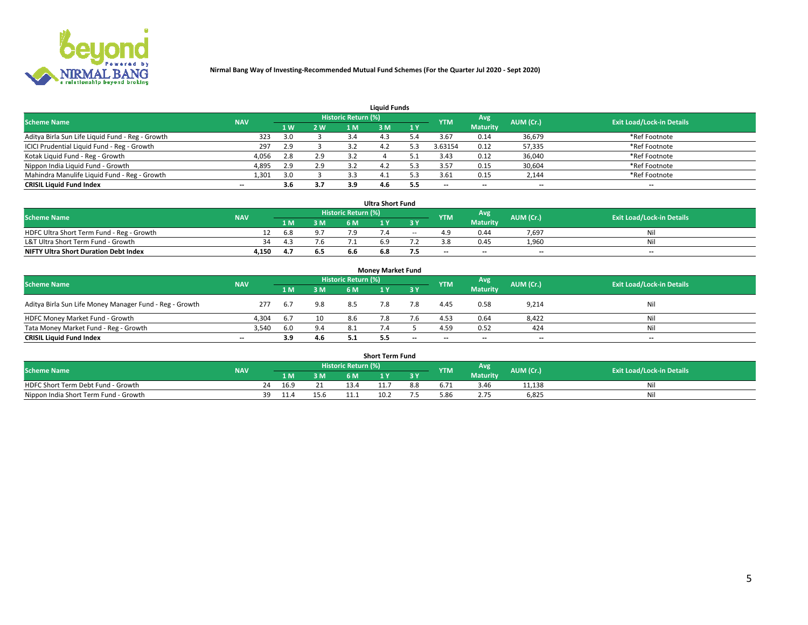

| <b>Liquid Funds</b>                              |            |           |     |                            |        |     |                          |                 |                          |                                  |  |  |  |  |
|--------------------------------------------------|------------|-----------|-----|----------------------------|--------|-----|--------------------------|-----------------|--------------------------|----------------------------------|--|--|--|--|
| <b>Scheme Name</b>                               | <b>NAV</b> |           |     | <b>Historic Return (%)</b> |        |     | <b>YTM</b>               | Avg             | AUM (Cr.)                | <b>Exit Load/Lock-in Details</b> |  |  |  |  |
|                                                  |            | <b>1W</b> | 2 W | 1 M                        | : M    | 1Y  |                          | <b>Maturity</b> |                          |                                  |  |  |  |  |
| Aditya Birla Sun Life Liquid Fund - Reg - Growth | 323        | 3.0       |     |                            |        |     | 3.67                     | 0.14            | 36,679                   | *Ref Footnote                    |  |  |  |  |
| ICICI Prudential Liquid Fund - Reg - Growth      | 297        | 2.9       |     |                            |        |     | 3.63154                  | 0.12            | 57,335                   | *Ref Footnote                    |  |  |  |  |
| Kotak Liquid Fund - Reg - Growth                 | 4,056      | 2.8       | 2.9 |                            |        |     | 3.43                     | 0.12            | 36,040                   | *Ref Footnote                    |  |  |  |  |
| Nippon India Liquid Fund - Growth                | 4,895      | 2.9       | 2.9 |                            |        |     | 3.57                     | 0.15            | 30,604                   | *Ref Footnote                    |  |  |  |  |
| Mahindra Manulife Liquid Fund - Reg - Growth     | 1,301      | 3.0       |     |                            | - 4. . |     | 3.61                     | 0.15            | 2,144                    | *Ref Footnote                    |  |  |  |  |
| <b>CRISIL Liquid Fund Index</b>                  | $- -$      | 3.6       | 3.7 |                            | 4.b    | 5.5 | $\overline{\phantom{a}}$ | $- -$           | $\overline{\phantom{a}}$ | $\overline{\phantom{m}}$         |  |  |  |  |

| <b>Ultra Short Fund</b>                      |            |       |     |                            |  |        |            |                 |                          |                                  |  |  |  |
|----------------------------------------------|------------|-------|-----|----------------------------|--|--------|------------|-----------------|--------------------------|----------------------------------|--|--|--|
| <b>Scheme Name</b>                           | <b>NAV</b> |       |     | <b>Historic Return (%)</b> |  |        | <b>YTM</b> | Avg             | AUM (Cr.)                | <b>Exit Load/Lock-in Details</b> |  |  |  |
|                                              |            | 4 M Z | 3 M | 6 M                        |  | 3 Y    |            | <b>Maturity</b> |                          |                                  |  |  |  |
| HDFC Ultra Short Term Fund - Reg - Growth    |            | 6.8   |     |                            |  | $\sim$ |            | 0.44            | 7,697                    | Nil                              |  |  |  |
| L&T Ultra Short Term Fund - Growth           | -34        | 4.5   | 7.6 |                            |  |        |            | 0.45            | 1.960                    | Ni                               |  |  |  |
| <b>NIFTY Ultra Short Duration Debt Index</b> | 4,150      |       | 6.5 | 6.6                        |  |        | $-$        | $- -$           | $\overline{\phantom{a}}$ | $-$                              |  |  |  |

| <b>Money Market Fund</b>                                |                          |       |     |                     |  |       |                          |                 |                          |                                  |  |  |  |  |
|---------------------------------------------------------|--------------------------|-------|-----|---------------------|--|-------|--------------------------|-----------------|--------------------------|----------------------------------|--|--|--|--|
| <b>Scheme Name</b>                                      | <b>NAV</b>               |       |     | Historic Return (%) |  |       | <b>YTM</b>               | Avg             | AUM (Cr.)                | <b>Exit Load/Lock-in Details</b> |  |  |  |  |
|                                                         |                          | 1 M   | 3 M | 6 M                 |  | 3 Y   |                          | <b>Maturity</b> |                          |                                  |  |  |  |  |
| Aditya Birla Sun Life Money Manager Fund - Reg - Growth | 277                      | - 6.7 | 9.8 | 8.5                 |  | 7.8   | 4.45                     | 0.58            | 9,214                    | Nil                              |  |  |  |  |
| HDFC Money Market Fund - Growth                         | 4.304                    | -6.7  | 10  | 8.6                 |  |       | 4.53                     | 0.64            | 8,422                    | Nil                              |  |  |  |  |
| Tata Money Market Fund - Reg - Growth                   | 3,540                    | 6.0   | 9.4 | 8.1                 |  |       | 4.59                     | 0.52            | 424                      | Nil                              |  |  |  |  |
| <b>CRISIL Liquid Fund Index</b>                         | $\overline{\phantom{a}}$ | 3.9   | 4.6 |                     |  | $- -$ | $\overline{\phantom{a}}$ | $- -$           | $\overline{\phantom{a}}$ | $- -$                            |  |  |  |  |

|                                       |            |             |        |                                  | <b>Short Term Fund</b> |     |            |                 |           |                                  |
|---------------------------------------|------------|-------------|--------|----------------------------------|------------------------|-----|------------|-----------------|-----------|----------------------------------|
| <b>Scheme Name</b>                    | <b>NAV</b> |             |        | Historic Return (%) <sup> </sup> |                        |     | <b>YTM</b> | Avg             | AUM (Cr.) | <b>Exit Load/Lock-in Details</b> |
|                                       |            | 1 M         | 3 M    | 6 M                              | <b>A</b>               | 2V  |            | <b>Maturity</b> |           |                                  |
| HDFC Short Term Debt Fund - Growth    |            | 16.9        | $\sim$ |                                  | 11.7                   | 8.8 | b. /       | $\sim$<br>3.46  | 11,138    | Nil                              |
| Nippon India Short Term Fund - Growth |            | 39.<br>11.4 | 15.6   |                                  | 10.2                   |     | 5.86       | 2.75            | 6.825     | Nil                              |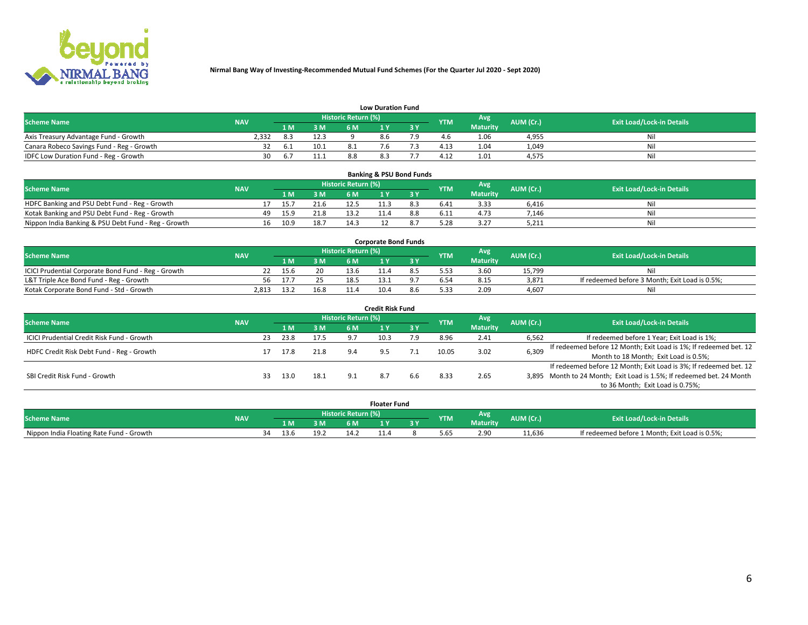

|                                           |            |     |      |                            | <b>Low Duration Fund</b> |     |            |                 |           |                                  |
|-------------------------------------------|------------|-----|------|----------------------------|--------------------------|-----|------------|-----------------|-----------|----------------------------------|
| <b>Scheme Name</b>                        | <b>NAV</b> |     |      | <b>Historic Return (%)</b> |                          |     | <b>YTM</b> | <b>Avg</b>      | AUM (Cr.) | <b>Exit Load/Lock-in Details</b> |
|                                           |            | 1 M | 3 M  |                            |                          | 3 Y |            | <b>Maturity</b> |           |                                  |
| Axis Treasury Advantage Fund - Growth     | 2.332      | 8.3 | 12.3 |                            |                          |     |            | 1.06            | 4,955     | Nil                              |
| Canara Robeco Savings Fund - Reg - Growth |            |     | 10.1 |                            |                          |     | 4.13       | 1.04            | 1,049     | Nil                              |
| IDFC Low Duration Fund - Reg - Growth     | 30         |     | 11.1 | 8.8                        |                          |     | 4.12       | 1.01            | 4,575     | Nil                              |

| <b>Banking &amp; PSU Bond Funds</b>                 |            |    |      |      |                            |  |     |            |                 |           |                                  |  |  |  |
|-----------------------------------------------------|------------|----|------|------|----------------------------|--|-----|------------|-----------------|-----------|----------------------------------|--|--|--|
| <b>Scheme Name</b>                                  | <b>NAV</b> |    |      |      | <b>Historic Return (%)</b> |  |     | <b>YTM</b> | Avg             | AUM (Cr.) | <b>Exit Load/Lock-in Details</b> |  |  |  |
|                                                     |            |    |      | 3 M  | 6 M                        |  |     |            | <b>Maturity</b> |           |                                  |  |  |  |
| HDFC Banking and PSU Debt Fund - Reg - Growth       |            |    | 15.7 |      | 12.5                       |  |     | 6.41       | 3.33            | 6.416     | Nil                              |  |  |  |
| Kotak Banking and PSU Debt Fund - Reg - Growth      |            | 49 | 15.9 | 21.8 | 13.2                       |  | 8.8 | 6.11       | 4.73            | 7.146     | Nil                              |  |  |  |
| Nippon India Banking & PSU Debt Fund - Reg - Growth |            | 16 | 10.9 | 18.7 | 14 '                       |  |     | 5.28       | 3.27            | 5.211     | Ni                               |  |  |  |

| <b>Corporate Bond Funds</b>                         |            |                                                 |      |           |                                  |  |      |          |        |                                                |  |  |  |  |
|-----------------------------------------------------|------------|-------------------------------------------------|------|-----------|----------------------------------|--|------|----------|--------|------------------------------------------------|--|--|--|--|
| <b>Scheme Name</b>                                  | <b>NAV</b> | <b>Historic Return (%)</b><br>Avg<br><b>YTM</b> |      | AUM (Cr.) | <b>Exit Load/Lock-in Details</b> |  |      |          |        |                                                |  |  |  |  |
|                                                     |            |                                                 | 3 M  | 6 M       |                                  |  |      | Maturity |        |                                                |  |  |  |  |
| ICICI Prudential Corporate Bond Fund - Reg - Growth |            | 15.6                                            | 20   | 13.6      |                                  |  |      | 3.60     | 15.799 | Nil                                            |  |  |  |  |
| L&T Triple Ace Bond Fund - Reg - Growth             | 56         | 17.7                                            |      | 18.5      |                                  |  |      | 8.15     | 3,871  | If redeemed before 3 Month; Exit Load is 0.5%; |  |  |  |  |
| Kotak Corporate Bond Fund - Std - Growth            | 2.813      | 13.                                             | 16.8 |           | 10.4                             |  | 5.33 | 2.09     | 4.607  | Nil                                            |  |  |  |  |

| Credit Risk Fund                           |            |    |      |      |                     |      |           |            |                 |           |                                                                       |  |  |
|--------------------------------------------|------------|----|------|------|---------------------|------|-----------|------------|-----------------|-----------|-----------------------------------------------------------------------|--|--|
| <b>Scheme Name</b>                         | <b>NAV</b> |    |      |      | Historic Return (%) |      |           | <b>YTM</b> | Avg             | AUM (Cr.) | <b>Exit Load/Lock-in Details</b>                                      |  |  |
|                                            |            |    | 1 M  | 3 M  | 6 M                 |      | <b>3Y</b> |            | <b>Maturity</b> |           |                                                                       |  |  |
| ICICI Prudential Credit Risk Fund - Growth |            | 23 | 23.8 | 17.5 | 9.7                 | 10.3 | 7.9       | 8.96       | 2.41            | 6,562     | If redeemed before 1 Year; Exit Load is 1%;                           |  |  |
| HDFC Credit Risk Debt Fund - Reg - Growth  |            |    | 17.8 | 21.8 | 9.4                 | 9.5  |           | 10.05      | 3.02            | 6,309     | If redeemed before 12 Month; Exit Load is 1%; If redeemed bet. 12     |  |  |
|                                            |            |    |      |      |                     |      |           |            |                 |           | Month to 18 Month; Exit Load is 0.5%;                                 |  |  |
|                                            |            |    |      |      |                     |      |           |            |                 |           | If redeemed before 12 Month; Exit Load is 3%; If redeemed bet. 12     |  |  |
| SBI Credit Risk Fund - Growth              |            | 33 | 13.0 | 18.1 | 9.1                 |      | 6.6       | 8.33       | 2.65            |           | 3,895 Month to 24 Month; Exit Load is 1.5%; If redeemed bet. 24 Month |  |  |
|                                            |            |    |      |      |                     |      |           |            |                 |           | to 36 Month; Exit Load is 0.75%;                                      |  |  |

| <b>Floater Fund</b>                      |            |  |      |    |                     |  |     |      |                        |           |                                                |  |
|------------------------------------------|------------|--|------|----|---------------------|--|-----|------|------------------------|-----------|------------------------------------------------|--|
| <b>Scheme Name</b>                       | <b>NAV</b> |  |      |    | Historic Return (%) |  |     | YTM  | Avg<br><b>Maturity</b> | AUM (Cr.) | <b>Exit Load/Lock-in Details</b>               |  |
|                                          |            |  | LM.  | ЗM | 6 M                 |  | n v |      |                        |           |                                                |  |
| Nippon India Floating Rate Fund - Growth |            |  | 13.6 |    | 14.                 |  |     | 5.65 | 2.90                   | 11,636    | If redeemed before 1 Month; Exit Load is 0.5%; |  |